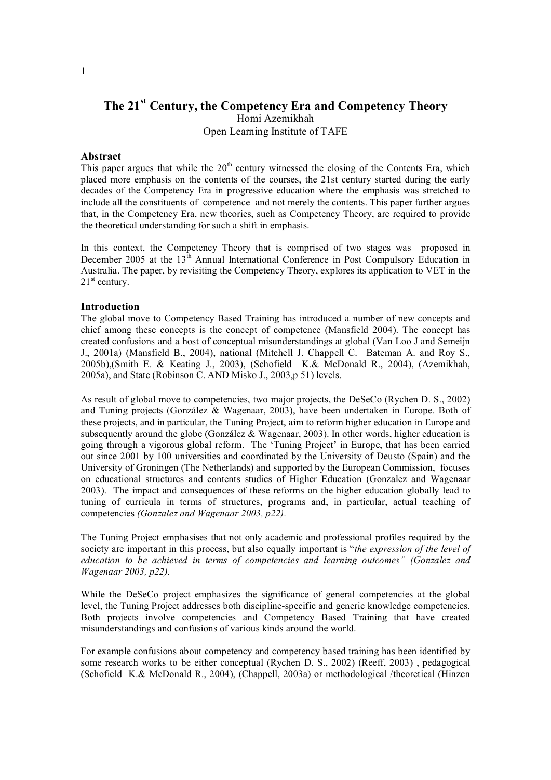# **The 21 st Century, the Competency Era and Competency Theory** Homi Azemikhah Open Learning Institute of TAFE

### **Abstract**

This paper argues that while the  $20<sup>th</sup>$  century witnessed the closing of the Contents Era, which placed more emphasis on the contents of the courses, the 21st century started during the early decades of the Competency Era in progressive education where the emphasis was stretched to include all the constituents of competence and not merely the contents. This paper further argues that, in the Competency Era, new theories, such as Competency Theory, are required to provide the theoretical understanding for such a shift in emphasis.

In this context, the Competency Theory that is comprised of two stages was proposed in December 2005 at the 13<sup>th</sup> Annual International Conference in Post Compulsory Education in Australia. The paper, by revisiting the Competency Theory, explores its application to VET in the  $21<sup>st</sup>$  century.

#### **Introduction**

The global move to Competency Based Training has introduced a number of new concepts and chief among these concepts is the concept of competence (Mansfield 2004). The concept has created confusions and a host of conceptual misunderstandings at global (Van Loo J and Semeijn J., 2001a) (Mansfield B., 2004), national (Mitchell J. Chappell C. Bateman A. and Roy S., 2005b),(Smith E. & Keating J., 2003), (Schofield K.& McDonald R., 2004), (Azemikhah, 2005a), and State (Robinson C. AND Misko J., 2003,p 51) levels.

As result of global move to competencies, two major projects, the DeSeCo (Rychen D. S., 2002) and Tuning projects (González & Wagenaar, 2003), have been undertaken in Europe. Both of these projects, and in particular, the Tuning Project, aim to reform higher education in Europe and subsequently around the globe (González & Wagenaar, 2003). In other words, higher education is going through a vigorous global reform. The 'Tuning Project' in Europe, that has been carried out since 2001 by 100 universities and coordinated by the University of Deusto (Spain) and the University of Groningen (The Netherlands) and supported by the European Commission, focuses on educational structures and contents studies of Higher Education (Gonzalez and Wagenaar 2003). The impact and consequences of these reforms on the higher education globally lead to tuning of curricula in terms of structures, programs and, in particular, actual teaching of competencies *(Gonzalez and Wagenaar 2003, p22).*

The Tuning Project emphasises that not only academic and professional profiles required by the society are important in this process, but also equally important is "*the expression of the level of education to be achieved in terms of competencies and learning outcomes" (Gonzalez and Wagenaar 2003, p22).*

While the DeSeCo project emphasizes the significance of general competencies at the global level, the Tuning Project addresses both disciplinespecific and generic knowledge competencies. Both projects involve competencies and Competency Based Training that have created misunderstandings and confusions of various kinds around the world.

For example confusions about competency and competency based training has been identified by some research works to be either conceptual (Rychen D. S., 2002) (Reeff, 2003) , pedagogical (Schofield K.& McDonald R., 2004), (Chappell, 2003a) or methodological /theoretical (Hinzen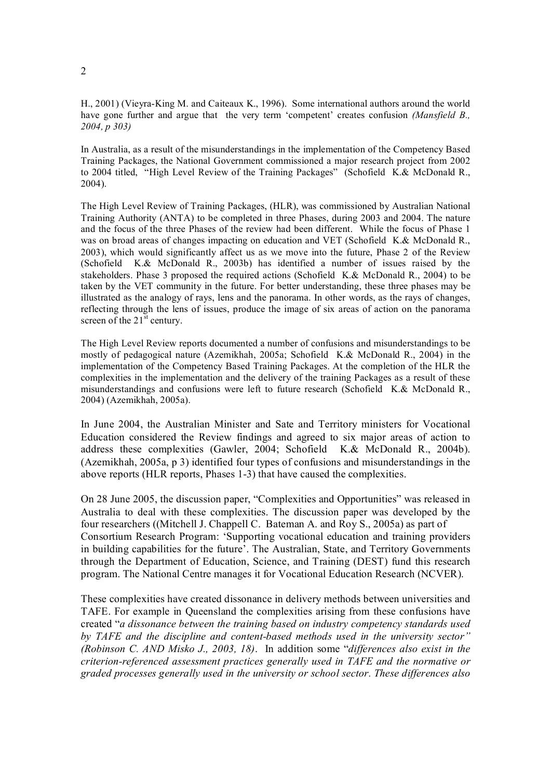H., 2001) (Vieyra-King M. and Caiteaux K., 1996). Some international authors around the world have gone further and argue that the very term 'competent' creates confusion *(Mansfield B., 2004, p 303)*

In Australia, as a result of the misunderstandings in the implementation of the Competency Based Training Packages, the National Government commissioned a major research project from 2002 to 2004 titled, "High Level Review of the Training Packages" (Schofield K.& McDonald R., 2004).

The High Level Review of Training Packages, (HLR), was commissioned by Australian National Training Authority (ANTA) to be completed in three Phases, during 2003 and 2004. The nature and the focus of the three Phases of the review had been different. While the focus of Phase 1 was on broad areas of changes impacting on education and VET (Schofield K.& McDonald R., 2003), which would significantly affect us as we move into the future, Phase 2 of the Review (Schofield K.& McDonald R., 2003b) has identified a number of issues raised by the stakeholders. Phase 3 proposed the required actions (Schofield K.& McDonald R., 2004) to be taken by the VET community in the future. For better understanding, these three phases may be illustrated as the analogy of rays, lens and the panorama. In other words, as the rays of changes, reflecting through the lens of issues, produce the image of six areas of action on the panorama screen of the  $21<sup>st</sup>$  century.

The High Level Review reports documented a number of confusions and misunderstandings to be mostly of pedagogical nature (Azemikhah, 2005a; Schofield K.& McDonald R., 2004) in the implementation of the Competency Based Training Packages. At the completion of the HLR the complexities in the implementation and the delivery of the training Packages as a result of these misunderstandings and confusions were left to future research (Schofield K.& McDonald R., 2004) (Azemikhah, 2005a).

In June 2004, the Australian Minister and Sate and Territory ministers for Vocational Education considered the Review findings and agreed to six major areas of action to address these complexities (Gawler, 2004; Schofield K.& McDonald R., 2004b). (Azemikhah, 2005a, p 3) identified four types of confusions and misunderstandings in the above reports (HLR reports, Phases 1-3) that have caused the complexities.

On 28 June 2005, the discussion paper, "Complexities and Opportunities" was released in Australia to deal with these complexities. The discussion paper was developed by the four researchers ((Mitchell J. Chappell C. Bateman A. and Roy S., 2005a) as part of Consortium Research Program: 'Supporting vocational education and training providers in building capabilities for the future'. The Australian, State, and Territory Governments through the Department of Education, Science, and Training (DEST) fund this research program. The National Centre manages it for Vocational Education Research (NCVER).

These complexities have created dissonance in delivery methods between universities and TAFE. For example in Queensland the complexities arising from these confusions have created "*a dissonance between the training based on industry competency standards used by* TAFE and the discipline and content-based methods used in the university sector" *(Robinson C. AND Misko J., 2003, 18)*. In addition some "*dif erences also exist in the criterion-referenced assessment practices generally used in TAFE and the normative or graded processes generally used in the university or school sector. These dif erences also*

2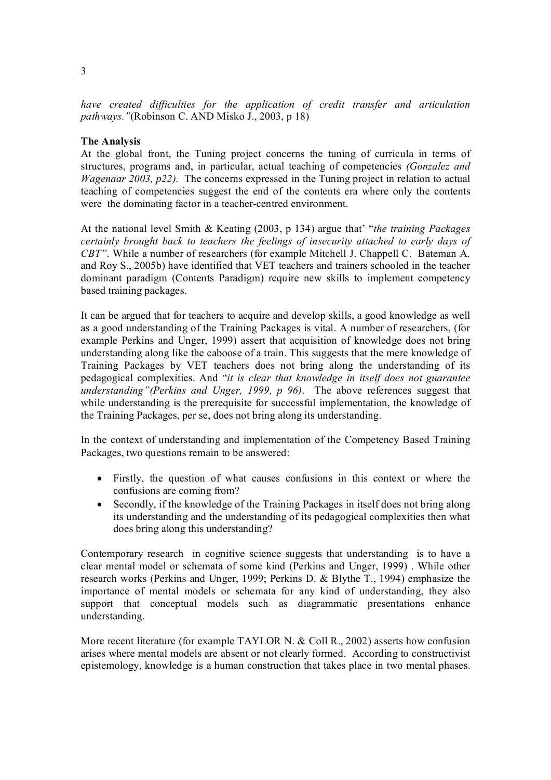*have created dif iculties for the application of credit transfer and articulation pathways."*(Robinson C. AND Misko J., 2003, p 18)

## **The Analysis**

At the global front, the Tuning project concerns the tuning of curricula in terms of structures, programs and, in particular, actual teaching of competencies *(Gonzalez and Wagenaar 2003, p22).* The concerns expressed in the Tuning project in relation to actual teaching of competencies suggest the end of the contents era where only the contents were the dominating factor in a teacher-centred environment.

At the national level Smith & Keating (2003, p 134) argue that' "*the training Packages certainly brought back to teachers the feelings of insecurity attached to early days of CBT"*. While a number of researchers (for example Mitchell J. Chappell C. Bateman A. and Roy S., 2005b) have identified that VET teachers and trainers schooled in the teacher dominant paradigm (Contents Paradigm) require new skills to implement competency based training packages.

It can be argued that for teachers to acquire and develop skills, a good knowledge as well as a good understanding of the Training Packages is vital. A number of researchers, (for example Perkins and Unger, 1999) assert that acquisition of knowledge does not bring understanding along like the caboose of a train. This suggests that the mere knowledge of Training Packages by VET teachers does not bring along the understanding of its pedagogical complexities. And "*it is clear that knowledge in itself does not guarantee understanding"(Perkins and Unger, 1999, p 96)*. The above references suggest that while understanding is the prerequisite for successful implementation, the knowledge of the Training Packages, per se, does not bring along its understanding.

In the context of understanding and implementation of the Competency Based Training Packages, two questions remain to be answered:

- · Firstly, the question of what causes confusions in this context or where the confusions are coming from?
- Secondly, if the knowledge of the Training Packages in itself does not bring along its understanding and the understanding of its pedagogical complexities then what does bring along this understanding?

Contemporary research in cognitive science suggests that understanding is to have a clear mental model or schemata of some kind (Perkins and Unger, 1999) . While other research works (Perkins and Unger, 1999; Perkins D. & Blythe T., 1994) emphasize the importance of mental models or schemata for any kind of understanding, they also support that conceptual models such as diagrammatic presentations enhance understanding.

More recent literature (for example TAYLOR N. & Coll R., 2002) asserts how confusion arises where mental models are absent or not clearly formed. According to constructivist epistemology, knowledge is a human construction that takes place in two mental phases.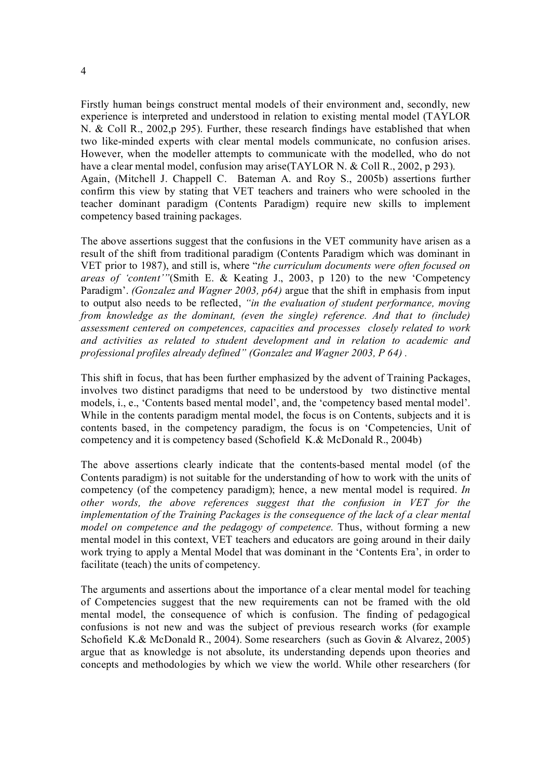Firstly human beings construct mental models of their environment and, secondly, new experience is interpreted and understood in relation to existing mental model (TAYLOR N. & Coll R., 2002, p 295). Further, these research findings have established that when two like-minded experts with clear mental models communicate, no confusion arises. However, when the modeller attempts to communicate with the modelled, who do not have a clear mental model, confusion may arise(TAYLOR N. & Coll R., 2002, p 293). Again, (Mitchell J. Chappell C. Bateman A. and Roy S., 2005b) assertions further confirm this view by stating that VET teachers and trainers who were schooled in the teacher dominant paradigm (Contents Paradigm) require new skills to implement competency based training packages.

The above assertions suggest that the confusions in the VET community have arisen as a result of the shift from traditional paradigm (Contents Paradigm which was dominant in VET prior to 1987), and still is, where "*the curriculum documents were often focused on areas of 'content'"*(Smith E. & Keating J., 2003, p 120) to the new 'Competency Paradigm'. *(Gonzalez and Wagner 2003, p64)* argue that the shift in emphasis from input to output also needs to be reflected, *"in the evaluation of student performance, moving from knowledge as the dominant, (even the single) reference. And that to (include) assessment centered on competences, capacities and processes closely related to work and activities as related to student development and in relation to academic and professional profiles already defined" (Gonzalez and Wagner 2003, P 64) .*

This shift in focus, that has been further emphasized by the advent of Training Packages, involves two distinct paradigms that need to be understood by two distinctive mental models, i., e., 'Contents based mental model', and, the 'competency based mental model'. While in the contents paradigm mental model, the focus is on Contents, subjects and it is contents based, in the competency paradigm, the focus is on 'Competencies, Unit of competency and it is competency based (Schofield K.& McDonald R., 2004b)

The above assertions clearly indicate that the contents-based mental model (of the Contents paradigm) is not suitable for the understanding of how to work with the units of competency (of the competency paradigm); hence, a new mental model is required. *In other words, the above references suggest that the confusion in VET for the implementation of the Training Packages is the consequence of the lack of a clear mental model on competence and the pedagogy of competence.* Thus, without forming a new mental model in this context, VET teachers and educators are going around in their daily work trying to apply a Mental Model that was dominant in the 'Contents Era', in order to facilitate (teach) the units of competency.

The arguments and assertions about the importance of a clear mental model for teaching of Competencies suggest that the new requirements can not be framed with the old mental model, the consequence of which is confusion. The finding of pedagogical confusions is not new and was the subject of previous research works (for example Schofield K.& McDonald R., 2004). Some researchers (such as Govin & Alvarez, 2005) argue that as knowledge is not absolute, its understanding depends upon theories and concepts and methodologies by which we view the world. While other researchers (for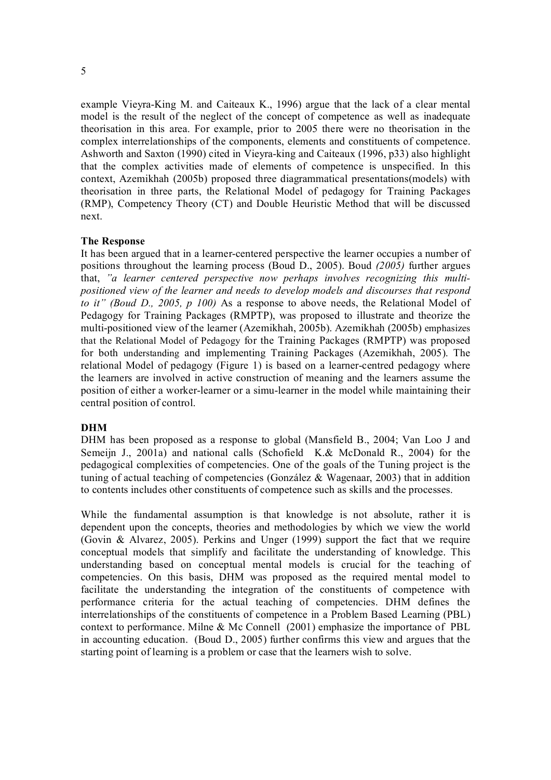example Vieyra-King M. and Caiteaux K., 1996) argue that the lack of a clear mental model is the result of the neglect of the concept of competence as well as inadequate theorisation in this area. For example, prior to 2005 there were no theorisation in the complex interrelationships of the components, elements and constituents of competence. Ashworth and Saxton (1990) cited in Vieyra-king and Caiteaux (1996, p33) also highlight that the complex activities made of elements of competence is unspecified. In this context, Azemikhah (2005b) proposed three diagrammatical presentations(models) with theorisation in three parts, the Relational Model of pedagogy for Training Packages (RMP), Competency Theory (CT) and Double Heuristic Method that will be discussed next.

### **The Response**

It has been argued that in a learner-centered perspective the learner occupies a number of positions throughout the learning process (Boud D., 2005). Boud *(2005)* further argues that, *"a learner centered perspective now perhaps involves recognizing this multi positioned view of the learner and needs to develop models and discourses that respond to it" (Boud D., 2005, p 100)* As a response to above needs, the Relational Model of Pedagogy for Training Packages (RMPTP), was proposed to illustrate and theorize the multi-positioned view of the learner (Azemikhah, 2005b). Azemikhah (2005b) emphasizes that the Relational Model of Pedagogy for the Training Packages (RMPTP) was proposed for both understanding and implementing Training Packages (Azemikhah, 2005). The relational Model of pedagogy (Figure 1) is based on a learner-centred pedagogy where the learners are involved in active construction of meaning and the learners assume the position of either a worker-learner or a simu-learner in the model while maintaining their central position of control.

### **DHM**

DHM has been proposed as a response to global (Mansfield B., 2004; Van Loo J and Semeijn J., 2001a) and national calls (Schofield K.& McDonald R., 2004) for the pedagogical complexities of competencies. One of the goals of the Tuning project is the tuning of actual teaching of competencies (González & Wagenaar, 2003) that in addition to contents includes other constituents of competence such as skills and the processes.

While the fundamental assumption is that knowledge is not absolute, rather it is dependent upon the concepts, theories and methodologies by which we view the world (Govin & Alvarez, 2005). Perkins and Unger (1999) support the fact that we require conceptual models that simplify and facilitate the understanding of knowledge. This understanding based on conceptual mental models is crucial for the teaching of competencies. On this basis, DHM was proposed as the required mental model to facilitate the understanding the integration of the constituents of competence with performance criteria for the actual teaching of competencies. DHM defines the interrelationships of the constituents of competence in a Problem Based Learning (PBL) context to performance. Milne & Mc Connell (2001) emphasize the importance of PBL in accounting education. (Boud D., 2005) further confirms this view and argues that the starting point of learning is a problem or case that the learners wish to solve.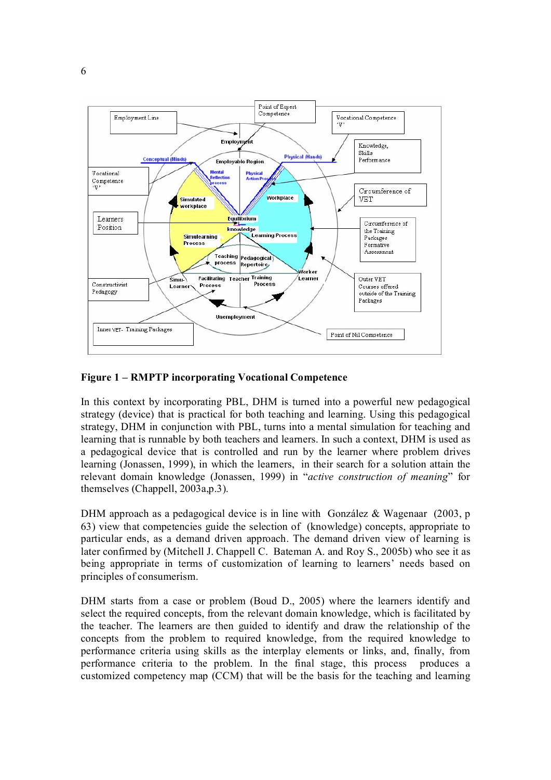

## **Figure 1 – RMPTP incorporating Vocational Competence**

In this context by incorporating PBL, DHM is turned into a powerful new pedagogical strategy (device) that is practical for both teaching and learning. Using this pedagogical strategy, DHM in conjunction with PBL, turns into a mental simulation for teaching and learning that is runnable by both teachers and learners. In such a context, DHM is used as a pedagogical device that is controlled and run by the learner where problem drives learning (Jonassen, 1999), in which the learners, in their search for a solution attain the relevant domain knowledge (Jonassen, 1999) in "*active construction of meaning*" for themselves (Chappell, 2003a,p.3).

DHM approach as a pedagogical device is in line with González & Wagenaar  $(2003, p$ 63) view that competencies guide the selection of (knowledge) concepts, appropriate to particular ends, as a demand driven approach. The demand driven view of learning is later confirmed by (Mitchell J. Chappell C. Bateman A. and Roy S., 2005b) who see it as being appropriate in terms of customization of learning to learners' needs based on principles of consumerism.

DHM starts from a case or problem (Boud D., 2005) where the learners identify and select the required concepts, from the relevant domain knowledge, which is facilitated by the teacher. The learners are then guided to identify and draw the relationship of the concepts from the problem to required knowledge, from the required knowledge to performance criteria using skills as the interplay elements or links, and, finally, from performance criteria to the problem. In the final stage, this process produces a customized competency map (CCM) that will be the basis for the teaching and learning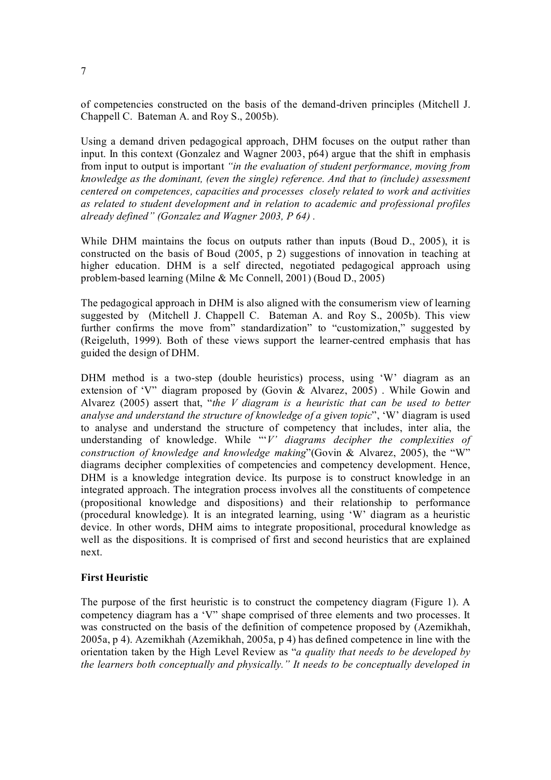of competencies constructed on the basis of the demanddriven principles (Mitchell J. Chappell C. Bateman A. and Roy S., 2005b).

Using a demand driven pedagogical approach, DHM focuses on the output rather than input. In this context (Gonzalez and Wagner 2003, p64) argue that the shift in emphasis from input to output is important *"in the evaluation of student performance, moving from knowledge as the dominant, (even the single) reference. And that to (include) assessment centered on competences, capacities and processes closely related to work and activities as related to student development and in relation to academic and professional profiles already defined" (Gonzalez and Wagner 2003, P 64) .*

While DHM maintains the focus on outputs rather than inputs (Boud D., 2005), it is constructed on the basis of Boud (2005, p 2) suggestions of innovation in teaching at higher education. DHM is a self directed, negotiated pedagogical approach using problem-based learning (Milne & Mc Connell, 2001) (Boud D., 2005)

The pedagogical approach in DHM is also aligned with the consumerism view of learning suggested by (Mitchell J. Chappell C. Bateman A. and Roy S., 2005b). This view further confirms the move from" standardization" to "customization," suggested by (Reigeluth, 1999). Both of these views support the learner-centred emphasis that has guided the design of DHM.

DHM method is a two-step (double heuristics) process, using 'W' diagram as an extension of 'V" diagram proposed by (Govin & Alvarez, 2005) . While Gowin and Alvarez (2005) assert that, "*the V diagram is a heuristic that can be used to better analyse and understand the structure of knowledge of a given topic*", 'W' diagram is used to analyse and understand the structure of competency that includes, inter alia, the understanding of knowledge. While "'*V' diagrams decipher the complexities of construction of knowledge and knowledge making*"(Govin & Alvarez, 2005), the "W" diagrams decipher complexities of competencies and competency development. Hence, DHM is a knowledge integration device. Its purpose is to construct knowledge in an integrated approach. The integration process involves all the constituents of competence (propositional knowledge and dispositions) and their relationship to performance (procedural knowledge). It is an integrated learning, using 'W' diagram asa heuristic device. In other words, DHM aims to integrate propositional, procedural knowledge as well as the dispositions. It is comprised of first and second heuristics that are explained next.

## **First Heuristic**

The purpose of the first heuristic is to construct the competency diagram (Figure 1). A competency diagram has a 'V" shape comprised of three elements and two processes. It was constructed on the basis of the definition of competence proposed by (Azemikhah, 2005a, p 4). Azemikhah (Azemikhah, 2005a, p 4) has defined competence in line with the orientation taken by the High Level Review as "*a quality that needs to be developed by the learners both conceptually and physically." It needs to be conceptually developed in*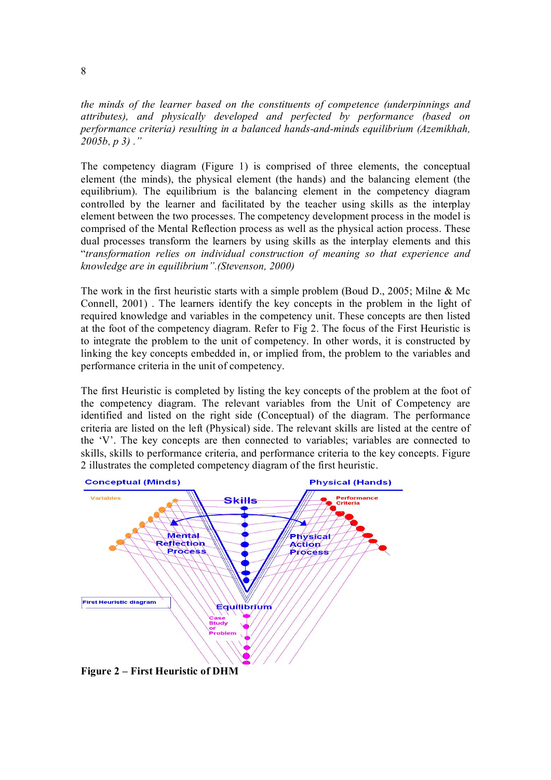*the minds of the learner based on the constituents of competence (underpinnings and attributes), and physically developed and perfected by performance (based on performance criteria) resulting in a balanced hands-and-minds equilibrium (Azemikhah,*  $\frac{1}{2}$ *) 2005b, p 3) ."*

The competency diagram (Figure 1) is comprised of three elements, the conceptual element (the minds), the physical element (the hands) and the balancing element (the equilibrium). The equilibrium is the balancing element in the competency diagram controlled by the learner and facilitated by the teacher using skills as the interplay element between the two processes. The competency development process in the model is comprised of the Mental Reflection process as well as the physical action process. These dual processes transform the learners by using skills as the interplay elements and this "*transformation relies on individual construction of meaning so that experience and knowledge are in equilibrium".(Stevenson, 2000)*

The work in the first heuristic starts with a simple problem (Boud D., 2005; Milne & Mc Connell, 2001). The learners identify the key concepts in the problem in the light of required knowledge and variables in the competency unit. These concepts are then listed at the foot of the competency diagram. Refer to Fig 2. The focus of the First Heuristic is to integrate the problem to the unit of competency. In other words, it is constructed by linking the key concepts embedded in, or implied from, the problem to the variables and performance criteria in the unit of competency.

The first Heuristic is completed by listing the key concepts of the problem at the foot of the competency diagram. The relevant variables from the Unit of Competency are identified and listed on the right side (Conceptual) of the diagram. The performance criteria are listed on the left (Physical) side. The relevant skills are listed at the centre of the 'V'. The key concepts are then connected to variables; variables are connected to skills, skills to performance criteria, and performance criteria to the key concepts. Figure 2 illustrates the completed competency diagram of the first heuristic.



**Figure 2 – First Heuristic of DHM**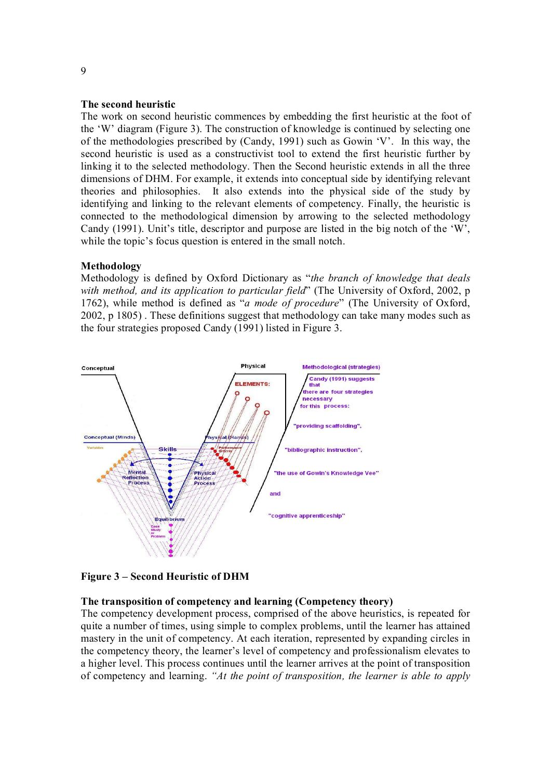### **The second heuristic**

The work on second heuristic commences by embedding the first heuristic at the foot of the 'W' diagram (Figure 3). The construction of knowledge is continued by selecting one of the methodologies prescribed by (Candy, 1991) such as Gowin 'V'. In this way, the second heuristic is used as a constructivist tool to extend the first heuristic further by linking it to the selected methodology. Then the Second heuristic extends in all the three dimensions of DHM. For example, it extends into conceptual side by identifying relevant theories and philosophies. It also extends into the physical side of the study by identifying and linking to the relevant elements of competency. Finally, the heuristic is connected to the methodological dimension by arrowing to the selected methodology Candy (1991). Unit's title, descriptor and purpose are listed in the big notch of the 'W', while the topic's focus question is entered in the small notch.

### **Methodology**

Methodology is defined by Oxford Dictionary as "*the branch of knowledge that deals with method, and its application to particular field*" (The University of Oxford, 2002, p 1762), while method is defined as "*a mode of procedure*" (The University of Oxford, 2002, p 1805) . These definitions suggest that methodology can take many modes such as the four strategies proposed Candy (1991) listed in Figure 3.



**Figure 3 – Second Heuristic of DHM**

#### **The transposition of competency and learning (Competency theory)**

The competency development process, comprised of the above heuristics, is repeated for quite a number of times, using simple to complex problems, until the learner has attained mastery in the unit of competency. At each iteration, represented by expanding circles in the competency theory, the learner's level of competency and professionalism elevates to a higher level. This process continues until the learner arrives at the point of transposition of competency and learning. *"At the point of transposition, the learner is able to apply*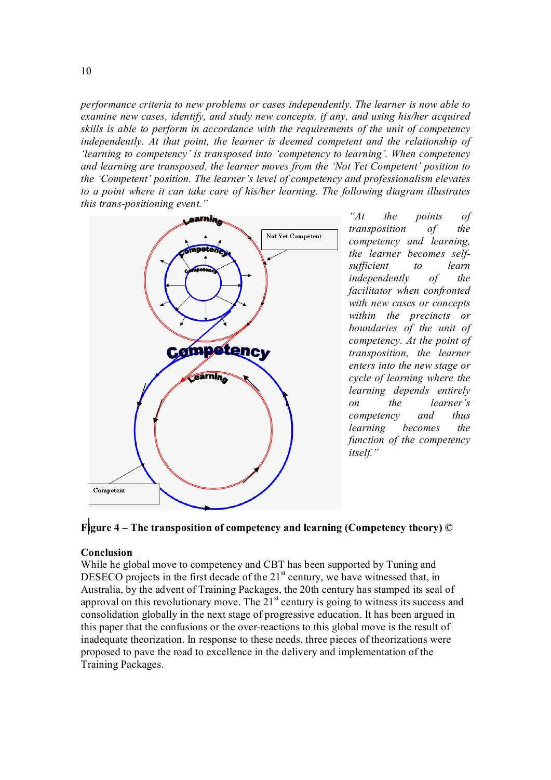*performance criteria to new problems or cases independently. The learner is now able to examine new cases, identify, and study new concepts, if any, and using his/her acquired skills is able to perform in accordance with the requirements of the unit of competency independently. At that point, the learner is deemed competent and the relationship of 'learning to competency' is transposed into 'competency to learning'. When competency and learning are transposed, the learner moves from the 'Not Yet Competent' position to the 'Competent' position. The learner's level of competency and professionalism elevates to a point where it can take care of his/her learning. The following diagram illustrates this trans-positioning event.*"



*"At the points of transposition of the competency and learning, the learner becomes self sufficient to learn independently of the facilitator when confronted with new cases or concepts within the precincts or boundaries of the unit of competency. At the point of transposition, the learner enters into the new stage or cycle of learning where the learning depends entirely on the learner's competency and thus learning becomes the function of the competency itself."*



### **Conclusion**

While he global move to competency and CBT has been supported by Tuning and DESECO projects in the first decade of the  $21<sup>st</sup>$  century, we have witnessed that, in Australia, by the advent of Training Packages, the 20th century has stamped its seal of approval on this revolutionary move. The  $21<sup>st</sup>$  century is going to witness its success and consolidation globally in the next stage of progressive education. It has been argued in this paper that the confusions or the over-reactions to this global move is the result of inadequate theorization. In response to these needs, three pieces of theorizations were proposed to pave the road to excellence in the delivery and implementation of the Training Packages.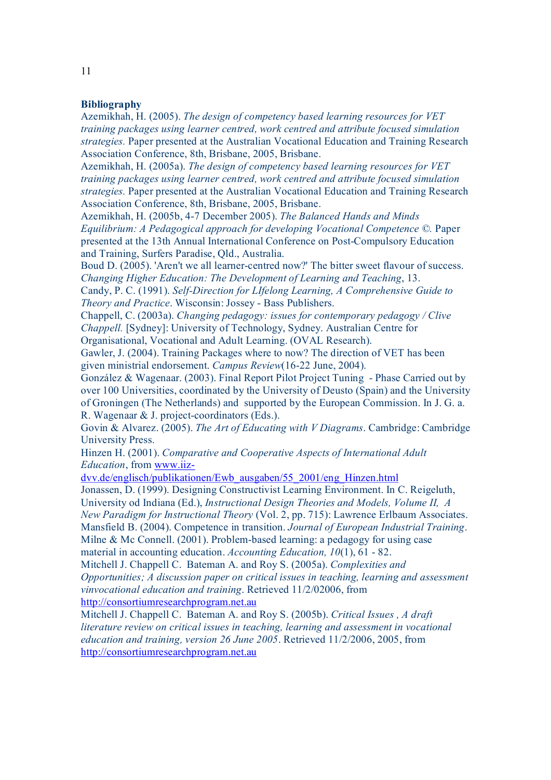### **Bibliography**

Azemikhah, H. (2005). *The design of competency based learning resources for VET training packages using learner centred, work centred and attribute focused simulation strategies.* Paper presented at the Australian Vocational Education and Training Research Association Conference, 8th, Brisbane, 2005, Brisbane.

Azemikhah, H. (2005a). *The design of competency based learning resources for VET training packages using learner centred, work centred and attribute focused simulation strategies.* Paper presented at the Australian Vocational Education and Training Research Association Conference, 8th, Brisbane, 2005, Brisbane.

Azemikhah, H. (2005b, 47 December 2005). *The Balanced Hands and Minds Equilibrium: A Pedagogical approach for developing Vocational Competence ©.* Paper presented at the 13th Annual International Conference on Post-Compulsory Education and Training, Surfers Paradise, Qld., Australia.

Boud D. (2005). 'Aren't we all learner-centred now?' The bitter sweet flavour of success. *Changing Higher Education: The Development of Learning and Teaching*, 13.

Candy, P. C. (1991). *SelfDirection for LIfelong Learning, A Comprehensive Guide to Theory and Practice*. Wisconsin: Jossey - Bass Publishers.

Chappell, C. (2003a). *Changing pedagogy: issues for contemporary pedagogy / Clive Chappell.* [Sydney]: University of Technology, Sydney. Australian Centre for Organisational, Vocational and Adult Learning. (OVAL Research).

Gawler, J. (2004). Training Packages where to now? The direction of VET has been given ministrial endorsement. *Campus Review*(1622 June, 2004).

González & Wagenaar. (2003). Final Report Pilot Project Tuning Phase Carried out by over 100 Universities, coordinated by the University of Deusto (Spain) and the University of Groningen (The Netherlands) and supported by the European Commission. In J. G. a. R. Wagenaar  $&$  J. project-coordinators (Eds.).

Govin & Alvarez. (2005). *The Art of Educating with V Diagrams*. Cambridge: Cambridge University Press.

Hinzen H. (2001). *Comparative and Cooperative Aspects of International Adult Education*, from www.iiz

[dvv.de/englisch/publikationen/Ewb\\_ausgaben/55\\_2001/eng\\_Hinzen.html](http://www.iiz-dvv.de/englisch/publikationen/Ewb_ausgaben/55_2001/eng_Hinzen.html)

Jonassen, D. (1999). Designing Constructivist Learning Environment. In C. Reigeluth, University od Indiana (Ed.), *Instructional Design Theories and Models, Volume II, A New Paradigm for Instructional Theory* (Vol. 2, pp. 715): Lawrence Erlbaum Associates. Mansfield B. (2004). Competence in transition. *Journal of European Industrial Training*. Milne & Mc Connell.  $(2001)$ . Problem-based learning: a pedagogy for using case material in accounting education. *Accounting Education*, 10(1), 61 - 82.

Mitchell J. Chappell C. Bateman A. and Roy S. (2005a). *Complexities and Opportunities; A discussion paper on critical issues in teaching, learning and assessment vinvocational education and training*. Retrieved 11/2/02006, from [http://consortiumresearchprogram.net.au](http://consortiumresearchprogram.net.au/)

Mitchell J. Chappell C. Bateman A. and Roy S. (2005b). *Critical Issues , A draft literature review on critical issues in teaching, learning and assessment in vocational education and training, version 26 June 2005*. Retrieved 11/2/2006, 2005, from [http://consortiumresearchprogram.net.au](http://consortiumresearchprogram.net.au/)